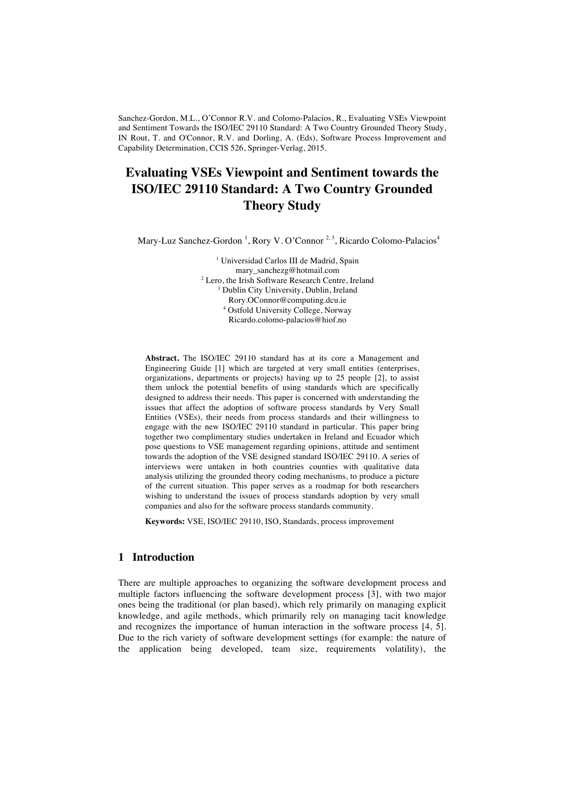Sanchez-Gordon, M.L., O'Connor R.V. and Colomo-Palacios, R., Evaluating VSEs Viewpoint and Sentiment Towards the ISO/IEC 29110 Standard: A Two Country Grounded Theory Study, IN Rout, T. and O'Connor, R.V. and Dorling, A. (Eds), Software Process Improvement and Capability Determination, CCIS 526, Springer-Verlag, 2015.

# **Evaluating VSEs Viewpoint and Sentiment towards the ISO/IEC 29110 Standard: A Two Country Grounded Theory Study**

Mary-Luz Sanchez-Gordon <sup>1</sup>, Rory V. O'Connor <sup>2, 3</sup>, Ricardo Colomo-Palacios<sup>4</sup>

<sup>1</sup> Universidad Carlos III de Madrid, Spain mary\_sanchezg@hotmail.com <sup>2</sup> Lero, the Irish Software Research Centre, Ireland <sup>3</sup> Dublin City University, Dublin, Ireland Rory.OConnor@computing.dcu.ie <sup>4</sup> Ostfold University College, Norway Ricardo.colomo-palacios@hiof.no

**Abstract.** The ISO/IEC 29110 standard has at its core a Management and Engineering Guide [1] which are targeted at very small entities (enterprises, organizations, departments or projects) having up to 25 people [2], to assist them unlock the potential benefits of using standards which are specifically designed to address their needs. This paper is concerned with understanding the issues that affect the adoption of software process standards by Very Small Entities (VSEs), their needs from process standards and their willingness to engage with the new ISO/IEC 29110 standard in particular. This paper bring together two complimentary studies undertaken in Ireland and Ecuador which pose questions to VSE management regarding opinions, attitude and sentiment towards the adoption of the VSE designed standard ISO/IEC 29110. A series of interviews were untaken in both countries counties with qualitative data analysis utilizing the grounded theory coding mechanisms, to produce a picture of the current situation. This paper serves as a roadmap for both researchers wishing to understand the issues of process standards adoption by very small companies and also for the software process standards community.

**Keywords:** VSE, ISO/IEC 29110, ISO, Standards, process improvement

# **1 Introduction**

There are multiple approaches to organizing the software development process and multiple factors influencing the software development process [3], with two major ones being the traditional (or plan based), which rely primarily on managing explicit knowledge, and agile methods, which primarily rely on managing tacit knowledge and recognizes the importance of human interaction in the software process [4, 5]. Due to the rich variety of software development settings (for example: the nature of the application being developed, team size, requirements volatility), the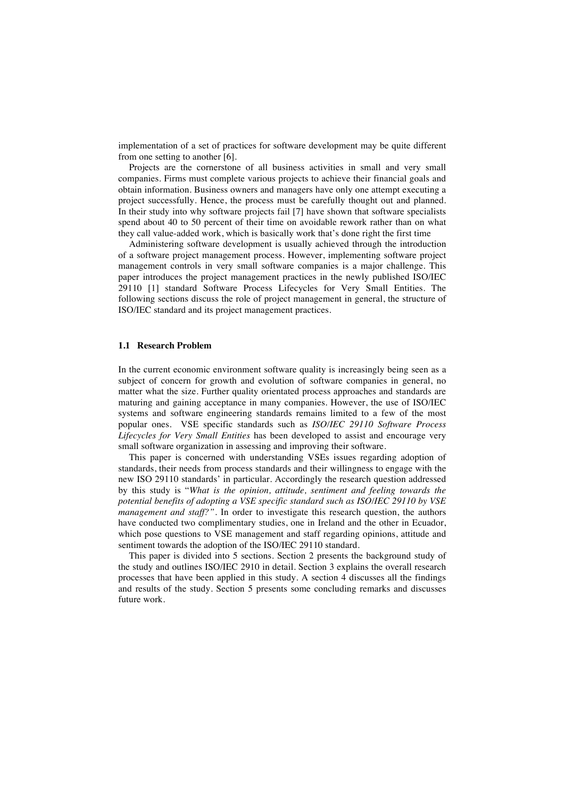implementation of a set of practices for software development may be quite different from one setting to another [6].

Projects are the cornerstone of all business activities in small and very small companies. Firms must complete various projects to achieve their financial goals and obtain information. Business owners and managers have only one attempt executing a project successfully. Hence, the process must be carefully thought out and planned. In their study into why software projects fail [7] have shown that software specialists spend about 40 to 50 percent of their time on avoidable rework rather than on what they call value-added work, which is basically work that's done right the first time

Administering software development is usually achieved through the introduction of a software project management process. However, implementing software project management controls in very small software companies is a major challenge. This paper introduces the project management practices in the newly published ISO/IEC 29110 [1] standard Software Process Lifecycles for Very Small Entities. The following sections discuss the role of project management in general, the structure of ISO/IEC standard and its project management practices.

#### **1.1 Research Problem**

In the current economic environment software quality is increasingly being seen as a subject of concern for growth and evolution of software companies in general, no matter what the size. Further quality orientated process approaches and standards are maturing and gaining acceptance in many companies. However, the use of ISO/IEC systems and software engineering standards remains limited to a few of the most popular ones. VSE specific standards such as *ISO/IEC 29110 Software Process Lifecycles for Very Small Entities* has been developed to assist and encourage very small software organization in assessing and improving their software.

This paper is concerned with understanding VSEs issues regarding adoption of standards, their needs from process standards and their willingness to engage with the new ISO 29110 standards' in particular. Accordingly the research question addressed by this study is "*What is the opinion, attitude, sentiment and feeling towards the potential benefits of adopting a VSE specific standard such as ISO/IEC 29110 by VSE management and staff?"*. In order to investigate this research question, the authors have conducted two complimentary studies, one in Ireland and the other in Ecuador, which pose questions to VSE management and staff regarding opinions, attitude and sentiment towards the adoption of the ISO/IEC 29110 standard.

This paper is divided into 5 sections. Section 2 presents the background study of the study and outlines ISO/IEC 2910 in detail. Section 3 explains the overall research processes that have been applied in this study. A section 4 discusses all the findings and results of the study. Section 5 presents some concluding remarks and discusses future work.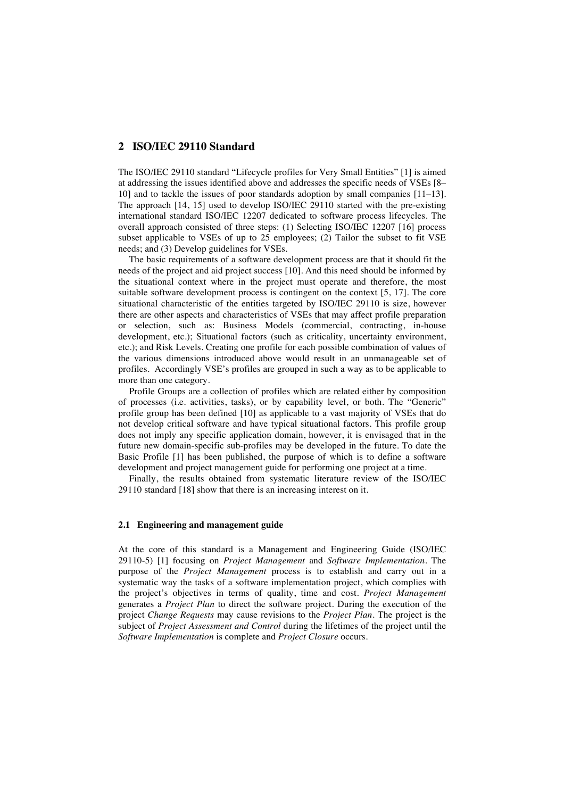# **2 ISO/IEC 29110 Standard**

The ISO/IEC 29110 standard "Lifecycle profiles for Very Small Entities" [1] is aimed at addressing the issues identified above and addresses the specific needs of VSEs [8– 10] and to tackle the issues of poor standards adoption by small companies [11–13]. The approach [14, 15] used to develop ISO/IEC 29110 started with the pre-existing international standard ISO/IEC 12207 dedicated to software process lifecycles. The overall approach consisted of three steps: (1) Selecting ISO/IEC 12207 [16] process subset applicable to VSEs of up to 25 employees; (2) Tailor the subset to fit VSE needs; and (3) Develop guidelines for VSEs.

The basic requirements of a software development process are that it should fit the needs of the project and aid project success [10]. And this need should be informed by the situational context where in the project must operate and therefore, the most suitable software development process is contingent on the context [5, 17]. The core situational characteristic of the entities targeted by ISO/IEC 29110 is size, however there are other aspects and characteristics of VSEs that may affect profile preparation or selection, such as: Business Models (commercial, contracting, in-house development, etc.); Situational factors (such as criticality, uncertainty environment, etc.); and Risk Levels. Creating one profile for each possible combination of values of the various dimensions introduced above would result in an unmanageable set of profiles. Accordingly VSE's profiles are grouped in such a way as to be applicable to more than one category.

Profile Groups are a collection of profiles which are related either by composition of processes (i.e. activities, tasks), or by capability level, or both. The "Generic" profile group has been defined [10] as applicable to a vast majority of VSEs that do not develop critical software and have typical situational factors. This profile group does not imply any specific application domain, however, it is envisaged that in the future new domain-specific sub-profiles may be developed in the future. To date the Basic Profile [1] has been published, the purpose of which is to define a software development and project management guide for performing one project at a time.

Finally, the results obtained from systematic literature review of the ISO/IEC 29110 standard [18] show that there is an increasing interest on it.

## **2.1 Engineering and management guide**

At the core of this standard is a Management and Engineering Guide (ISO/IEC 29110-5) [1] focusing on *Project Management* and *Software Implementation*. The purpose of the *Project Management* process is to establish and carry out in a systematic way the tasks of a software implementation project, which complies with the project's objectives in terms of quality, time and cost. *Project Management* generates a *Project Plan* to direct the software project. During the execution of the project *Change Requests* may cause revisions to the *Project Plan*. The project is the subject of *Project Assessment and Control* during the lifetimes of the project until the *Software Implementation* is complete and *Project Closure* occurs.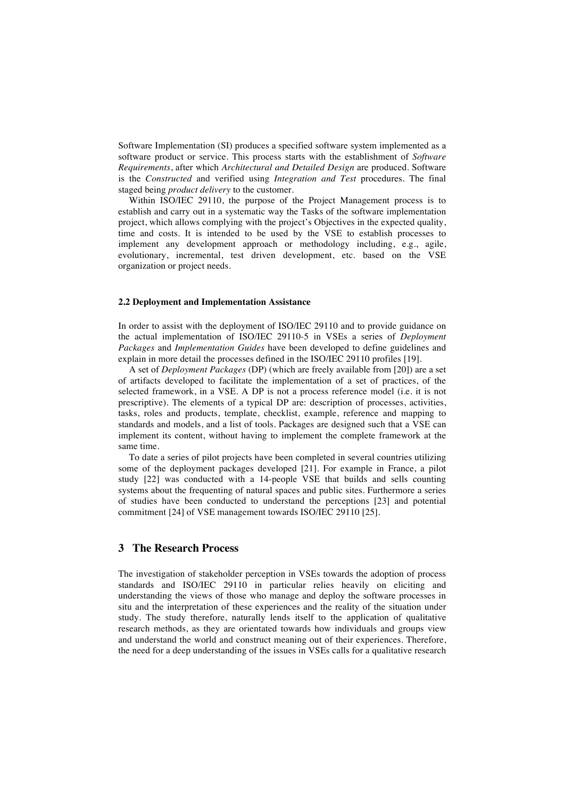Software Implementation (SI) produces a specified software system implemented as a software product or service. This process starts with the establishment of *Software Requirements*, after which *Architectural and Detailed Design* are produced. Software is the *Constructed* and verified using *Integration and Test* procedures. The final staged being *product delivery* to the customer.

Within ISO/IEC 29110, the purpose of the Project Management process is to establish and carry out in a systematic way the Tasks of the software implementation project, which allows complying with the project's Objectives in the expected quality, time and costs. It is intended to be used by the VSE to establish processes to implement any development approach or methodology including, e.g., agile, evolutionary, incremental, test driven development, etc. based on the VSE organization or project needs.

## **2.2 Deployment and Implementation Assistance**

In order to assist with the deployment of ISO/IEC 29110 and to provide guidance on the actual implementation of ISO/IEC 29110-5 in VSEs a series of *Deployment Packages* and *Implementation Guides* have been developed to define guidelines and explain in more detail the processes defined in the ISO/IEC 29110 profiles [19].

A set of *Deployment Packages* (DP) (which are freely available from [20]) are a set of artifacts developed to facilitate the implementation of a set of practices, of the selected framework, in a VSE. A DP is not a process reference model (i.e. it is not prescriptive). The elements of a typical DP are: description of processes, activities, tasks, roles and products, template, checklist, example, reference and mapping to standards and models, and a list of tools. Packages are designed such that a VSE can implement its content, without having to implement the complete framework at the same time.

To date a series of pilot projects have been completed in several countries utilizing some of the deployment packages developed [21]. For example in France, a pilot study [22] was conducted with a 14-people VSE that builds and sells counting systems about the frequenting of natural spaces and public sites. Furthermore a series of studies have been conducted to understand the perceptions [23] and potential commitment [24] of VSE management towards ISO/IEC 29110 [25].

# **3 The Research Process**

The investigation of stakeholder perception in VSEs towards the adoption of process standards and ISO/IEC 29110 in particular relies heavily on eliciting and understanding the views of those who manage and deploy the software processes in situ and the interpretation of these experiences and the reality of the situation under study. The study therefore, naturally lends itself to the application of qualitative research methods, as they are orientated towards how individuals and groups view and understand the world and construct meaning out of their experiences. Therefore, the need for a deep understanding of the issues in VSEs calls for a qualitative research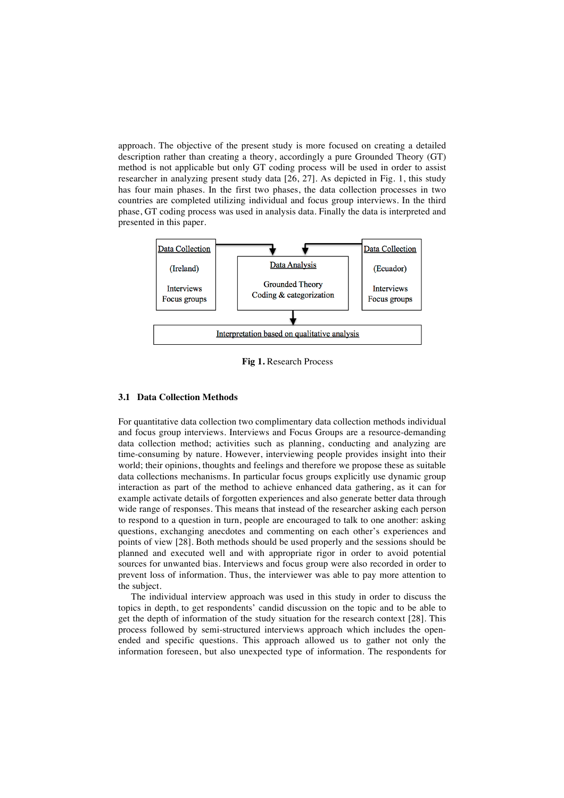approach. The objective of the present study is more focused on creating a detailed description rather than creating a theory, accordingly a pure Grounded Theory (GT) method is not applicable but only GT coding process will be used in order to assist researcher in analyzing present study data [26, 27]. As depicted in Fig. 1, this study has four main phases. In the first two phases, the data collection processes in two countries are completed utilizing individual and focus group interviews. In the third phase, GT coding process was used in analysis data. Finally the data is interpreted and presented in this paper.



**Fig 1.** Research Process

## **3.1 Data Collection Methods**

For quantitative data collection two complimentary data collection methods individual and focus group interviews. Interviews and Focus Groups are a resource-demanding data collection method; activities such as planning, conducting and analyzing are time-consuming by nature. However, interviewing people provides insight into their world; their opinions, thoughts and feelings and therefore we propose these as suitable data collections mechanisms. In particular focus groups explicitly use dynamic group interaction as part of the method to achieve enhanced data gathering, as it can for example activate details of forgotten experiences and also generate better data through wide range of responses. This means that instead of the researcher asking each person to respond to a question in turn, people are encouraged to talk to one another: asking questions, exchanging anecdotes and commenting on each other's experiences and points of view [28]. Both methods should be used properly and the sessions should be planned and executed well and with appropriate rigor in order to avoid potential sources for unwanted bias. Interviews and focus group were also recorded in order to prevent loss of information. Thus, the interviewer was able to pay more attention to the subject.

The individual interview approach was used in this study in order to discuss the topics in depth, to get respondents' candid discussion on the topic and to be able to get the depth of information of the study situation for the research context [28]. This process followed by semi-structured interviews approach which includes the openended and specific questions. This approach allowed us to gather not only the information foreseen, but also unexpected type of information. The respondents for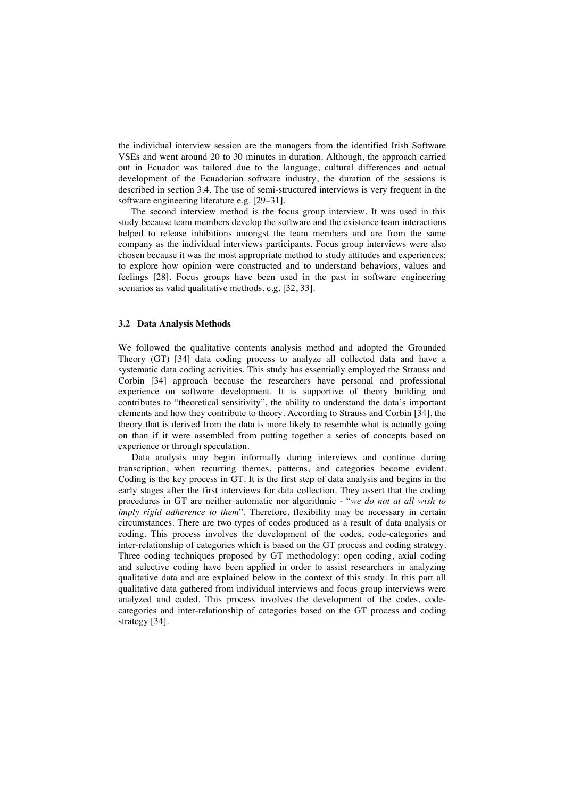the individual interview session are the managers from the identified Irish Software VSEs and went around 20 to 30 minutes in duration. Although, the approach carried out in Ecuador was tailored due to the language, cultural differences and actual development of the Ecuadorian software industry, the duration of the sessions is described in section 3.4. The use of semi-structured interviews is very frequent in the software engineering literature e.g. [29–31].

The second interview method is the focus group interview. It was used in this study because team members develop the software and the existence team interactions helped to release inhibitions amongst the team members and are from the same company as the individual interviews participants. Focus group interviews were also chosen because it was the most appropriate method to study attitudes and experiences; to explore how opinion were constructed and to understand behaviors, values and feelings [28]. Focus groups have been used in the past in software engineering scenarios as valid qualitative methods, e.g. [32, 33].

#### **3.2 Data Analysis Methods**

We followed the qualitative contents analysis method and adopted the Grounded Theory (GT) [34] data coding process to analyze all collected data and have a systematic data coding activities. This study has essentially employed the Strauss and Corbin [34] approach because the researchers have personal and professional experience on software development. It is supportive of theory building and contributes to "theoretical sensitivity", the ability to understand the data's important elements and how they contribute to theory. According to Strauss and Corbin [34], the theory that is derived from the data is more likely to resemble what is actually going on than if it were assembled from putting together a series of concepts based on experience or through speculation.

Data analysis may begin informally during interviews and continue during transcription, when recurring themes, patterns, and categories become evident. Coding is the key process in GT. It is the first step of data analysis and begins in the early stages after the first interviews for data collection. They assert that the coding procedures in GT are neither automatic nor algorithmic - "*we do not at all wish to imply rigid adherence to them*". Therefore, flexibility may be necessary in certain circumstances. There are two types of codes produced as a result of data analysis or coding. This process involves the development of the codes, code-categories and inter-relationship of categories which is based on the GT process and coding strategy. Three coding techniques proposed by GT methodology: open coding, axial coding and selective coding have been applied in order to assist researchers in analyzing qualitative data and are explained below in the context of this study. In this part all qualitative data gathered from individual interviews and focus group interviews were analyzed and coded. This process involves the development of the codes, codecategories and inter-relationship of categories based on the GT process and coding strategy [34].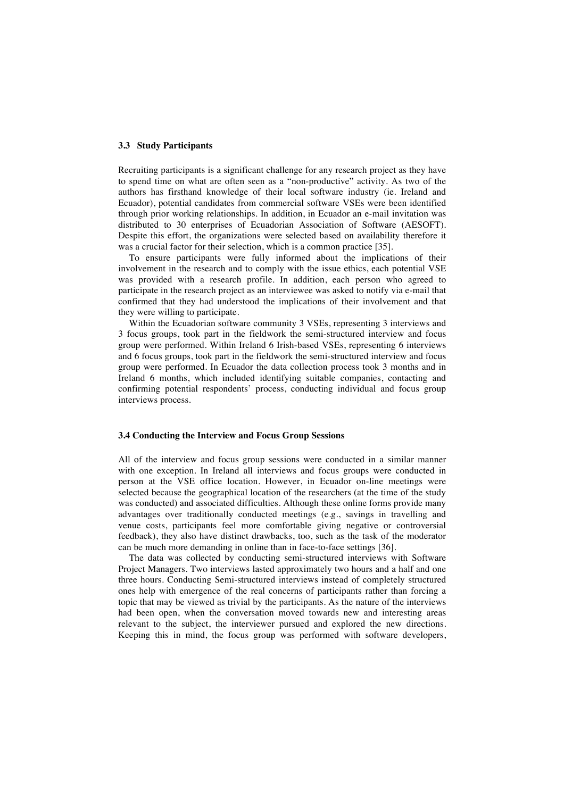## **3.3 Study Participants**

Recruiting participants is a significant challenge for any research project as they have to spend time on what are often seen as a "non-productive" activity. As two of the authors has firsthand knowledge of their local software industry (ie. Ireland and Ecuador), potential candidates from commercial software VSEs were been identified through prior working relationships. In addition, in Ecuador an e-mail invitation was distributed to 30 enterprises of Ecuadorian Association of Software (AESOFT). Despite this effort, the organizations were selected based on availability therefore it was a crucial factor for their selection, which is a common practice [35].

To ensure participants were fully informed about the implications of their involvement in the research and to comply with the issue ethics, each potential VSE was provided with a research profile. In addition, each person who agreed to participate in the research project as an interviewee was asked to notify via e-mail that confirmed that they had understood the implications of their involvement and that they were willing to participate.

Within the Ecuadorian software community 3 VSEs, representing 3 interviews and 3 focus groups, took part in the fieldwork the semi-structured interview and focus group were performed. Within Ireland 6 Irish-based VSEs, representing 6 interviews and 6 focus groups, took part in the fieldwork the semi-structured interview and focus group were performed. In Ecuador the data collection process took 3 months and in Ireland 6 months, which included identifying suitable companies, contacting and confirming potential respondents' process, conducting individual and focus group interviews process.

### **3.4 Conducting the Interview and Focus Group Sessions**

All of the interview and focus group sessions were conducted in a similar manner with one exception. In Ireland all interviews and focus groups were conducted in person at the VSE office location. However, in Ecuador on-line meetings were selected because the geographical location of the researchers (at the time of the study was conducted) and associated difficulties. Although these online forms provide many advantages over traditionally conducted meetings (e.g., savings in travelling and venue costs, participants feel more comfortable giving negative or controversial feedback), they also have distinct drawbacks, too, such as the task of the moderator can be much more demanding in online than in face-to-face settings [36].

The data was collected by conducting semi-structured interviews with Software Project Managers. Two interviews lasted approximately two hours and a half and one three hours. Conducting Semi-structured interviews instead of completely structured ones help with emergence of the real concerns of participants rather than forcing a topic that may be viewed as trivial by the participants. As the nature of the interviews had been open, when the conversation moved towards new and interesting areas relevant to the subject, the interviewer pursued and explored the new directions. Keeping this in mind, the focus group was performed with software developers,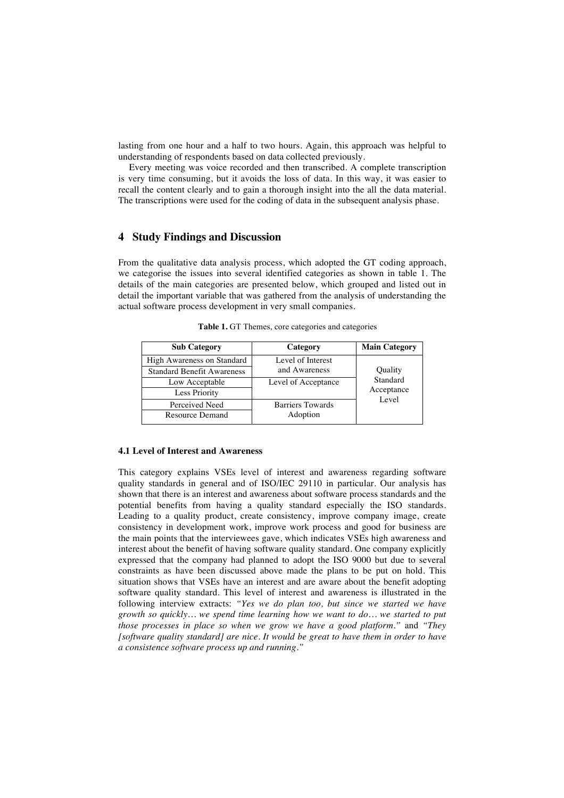lasting from one hour and a half to two hours. Again, this approach was helpful to understanding of respondents based on data collected previously.

Every meeting was voice recorded and then transcribed. A complete transcription is very time consuming, but it avoids the loss of data. In this way, it was easier to recall the content clearly and to gain a thorough insight into the all the data material. The transcriptions were used for the coding of data in the subsequent analysis phase.

# **4 Study Findings and Discussion**

From the qualitative data analysis process, which adopted the GT coding approach, we categorise the issues into several identified categories as shown in table 1. The details of the main categories are presented below, which grouped and listed out in detail the important variable that was gathered from the analysis of understanding the actual software process development in very small companies.

| <b>Sub Category</b>               | Category                | <b>Main Category</b> |
|-----------------------------------|-------------------------|----------------------|
| High Awareness on Standard        | Level of Interest       |                      |
| <b>Standard Benefit Awareness</b> | and Awareness           | Quality              |
| Low Acceptable                    | Level of Acceptance     | Standard             |
| Less Priority                     |                         | Acceptance<br>Level  |
| Perceived Need                    | <b>Barriers Towards</b> |                      |
| Resource Demand                   | Adoption                |                      |

**Table 1.** GT Themes, core categories and categories

## **4.1 Level of Interest and Awareness**

This category explains VSEs level of interest and awareness regarding software quality standards in general and of ISO/IEC 29110 in particular. Our analysis has shown that there is an interest and awareness about software process standards and the potential benefits from having a quality standard especially the ISO standards. Leading to a quality product, create consistency, improve company image, create consistency in development work, improve work process and good for business are the main points that the interviewees gave, which indicates VSEs high awareness and interest about the benefit of having software quality standard. One company explicitly expressed that the company had planned to adopt the ISO 9000 but due to several constraints as have been discussed above made the plans to be put on hold. This situation shows that VSEs have an interest and are aware about the benefit adopting software quality standard. This level of interest and awareness is illustrated in the following interview extracts: *"Yes we do plan too, but since we started we have growth so quickly… we spend time learning how we want to do… we started to put those processes in place so when we grow we have a good platform."* and *"They [software quality standard] are nice. It would be great to have them in order to have a consistence software process up and running."*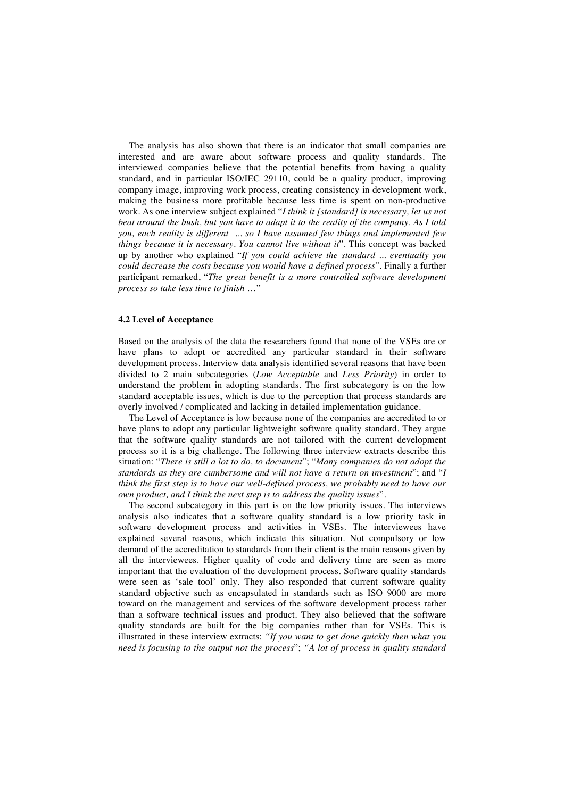The analysis has also shown that there is an indicator that small companies are interested and are aware about software process and quality standards. The interviewed companies believe that the potential benefits from having a quality standard, and in particular ISO/IEC 29110, could be a quality product, improving company image, improving work process, creating consistency in development work, making the business more profitable because less time is spent on non-productive work. As one interview subject explained "*I think it [standard] is necessary, let us not beat around the bush, but you have to adapt it to the reality of the company. As I told you, each reality is different ... so I have assumed few things and implemented few things because it is necessary. You cannot live without it*". This concept was backed up by another who explained "*If you could achieve the standard ... eventually you could decrease the costs because you would have a defined process*". Finally a further participant remarked, "*The great benefit is a more controlled software development process so take less time to finish* …"

## **4.2 Level of Acceptance**

Based on the analysis of the data the researchers found that none of the VSEs are or have plans to adopt or accredited any particular standard in their software development process. Interview data analysis identified several reasons that have been divided to 2 main subcategories (*Low Acceptable* and *Less Priority*) in order to understand the problem in adopting standards. The first subcategory is on the low standard acceptable issues, which is due to the perception that process standards are overly involved / complicated and lacking in detailed implementation guidance.

The Level of Acceptance is low because none of the companies are accredited to or have plans to adopt any particular lightweight software quality standard. They argue that the software quality standards are not tailored with the current development process so it is a big challenge. The following three interview extracts describe this situation: "*There is still a lot to do, to document*"; "*Many companies do not adopt the standards as they are cumbersome and will not have a return on investment*"; and "*I think the first step is to have our well-defined process, we probably need to have our own product, and I think the next step is to address the quality issues*".

The second subcategory in this part is on the low priority issues. The interviews analysis also indicates that a software quality standard is a low priority task in software development process and activities in VSEs. The interviewees have explained several reasons, which indicate this situation. Not compulsory or low demand of the accreditation to standards from their client is the main reasons given by all the interviewees. Higher quality of code and delivery time are seen as more important that the evaluation of the development process. Software quality standards were seen as 'sale tool' only. They also responded that current software quality standard objective such as encapsulated in standards such as ISO 9000 are more toward on the management and services of the software development process rather than a software technical issues and product. They also believed that the software quality standards are built for the big companies rather than for VSEs. This is illustrated in these interview extracts: *"If you want to get done quickly then what you need is focusing to the output not the process*"; *"A lot of process in quality standard*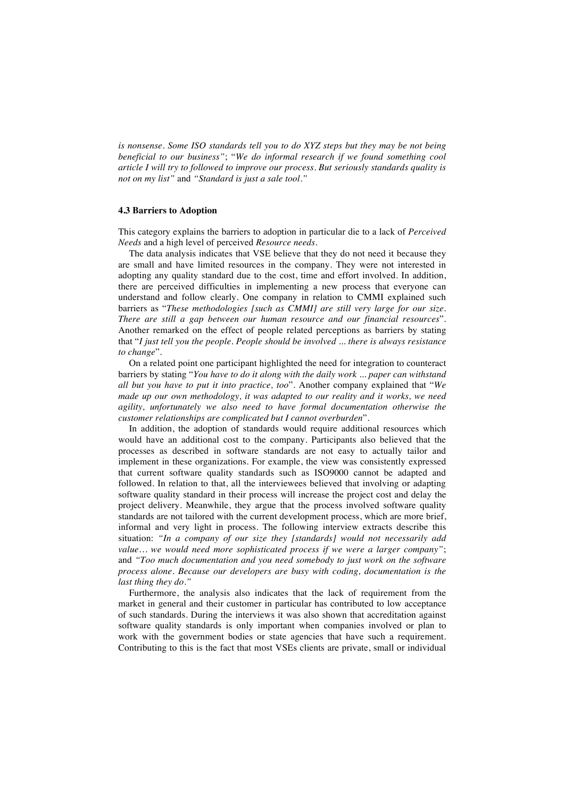*is nonsense. Some ISO standards tell you to do XYZ steps but they may be not being beneficial to our business"*; "*We do informal research if we found something cool article I will try to followed to improve our process. But seriously standards quality is not on my list"* and *"Standard is just a sale tool."*

## **4.3 Barriers to Adoption**

This category explains the barriers to adoption in particular die to a lack of *Perceived Needs* and a high level of perceived *Resource needs*.

The data analysis indicates that VSE believe that they do not need it because they are small and have limited resources in the company. They were not interested in adopting any quality standard due to the cost, time and effort involved. In addition, there are perceived difficulties in implementing a new process that everyone can understand and follow clearly. One company in relation to CMMI explained such barriers as "*These methodologies [such as CMMI] are still very large for our size. There are still a gap between our human resource and our financial resources*". Another remarked on the effect of people related perceptions as barriers by stating that "*I just tell you the people. People should be involved ... there is always resistance to change*".

On a related point one participant highlighted the need for integration to counteract barriers by stating "*You have to do it along with the daily work ... paper can withstand all but you have to put it into practice, too*". Another company explained that "*We made up our own methodology, it was adapted to our reality and it works, we need agility, unfortunately we also need to have formal documentation otherwise the customer relationships are complicated but I cannot overburden*".

In addition, the adoption of standards would require additional resources which would have an additional cost to the company. Participants also believed that the processes as described in software standards are not easy to actually tailor and implement in these organizations. For example, the view was consistently expressed that current software quality standards such as ISO9000 cannot be adapted and followed. In relation to that, all the interviewees believed that involving or adapting software quality standard in their process will increase the project cost and delay the project delivery. Meanwhile, they argue that the process involved software quality standards are not tailored with the current development process, which are more brief, informal and very light in process. The following interview extracts describe this situation: *"In a company of our size they [standards] would not necessarily add value… we would need more sophisticated process if we were a larger company"*; and *"Too much documentation and you need somebody to just work on the software process alone. Because our developers are busy with coding, documentation is the last thing they do."*

Furthermore, the analysis also indicates that the lack of requirement from the market in general and their customer in particular has contributed to low acceptance of such standards. During the interviews it was also shown that accreditation against software quality standards is only important when companies involved or plan to work with the government bodies or state agencies that have such a requirement. Contributing to this is the fact that most VSEs clients are private, small or individual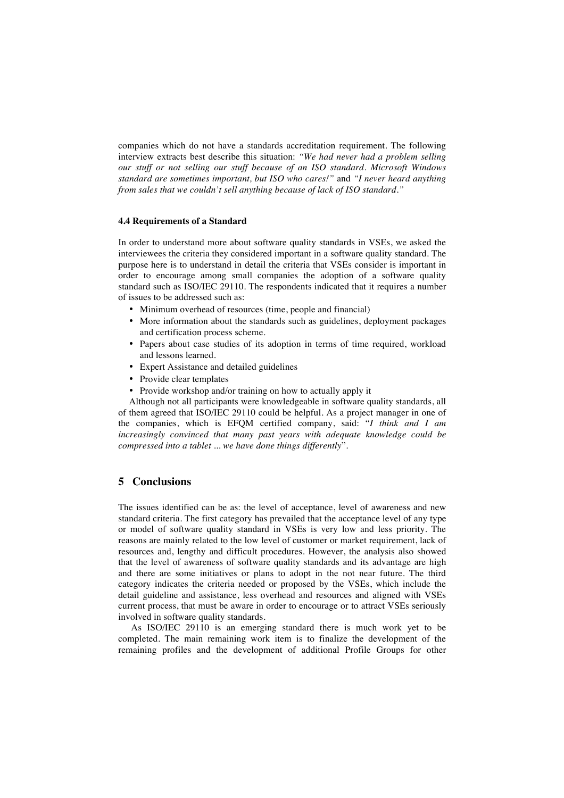companies which do not have a standards accreditation requirement. The following interview extracts best describe this situation: *"We had never had a problem selling our stuff or not selling our stuff because of an ISO standard. Microsoft Windows standard are sometimes important, but ISO who cares!"* and *"I never heard anything from sales that we couldn't sell anything because of lack of ISO standard."*

## **4.4 Requirements of a Standard**

In order to understand more about software quality standards in VSEs, we asked the interviewees the criteria they considered important in a software quality standard. The purpose here is to understand in detail the criteria that VSEs consider is important in order to encourage among small companies the adoption of a software quality standard such as ISO/IEC 29110. The respondents indicated that it requires a number of issues to be addressed such as:

- Minimum overhead of resources (time, people and financial)
- More information about the standards such as guidelines, deployment packages and certification process scheme.
- Papers about case studies of its adoption in terms of time required, workload and lessons learned.
- Expert Assistance and detailed guidelines
- Provide clear templates
- Provide workshop and/or training on how to actually apply it

Although not all participants were knowledgeable in software quality standards, all of them agreed that ISO/IEC 29110 could be helpful. As a project manager in one of the companies, which is EFQM certified company, said: "*I think and I am increasingly convinced that many past years with adequate knowledge could be compressed into a tablet ... we have done things differently*".

# **5 Conclusions**

The issues identified can be as: the level of acceptance, level of awareness and new standard criteria. The first category has prevailed that the acceptance level of any type or model of software quality standard in VSEs is very low and less priority. The reasons are mainly related to the low level of customer or market requirement, lack of resources and, lengthy and difficult procedures. However, the analysis also showed that the level of awareness of software quality standards and its advantage are high and there are some initiatives or plans to adopt in the not near future. The third category indicates the criteria needed or proposed by the VSEs, which include the detail guideline and assistance, less overhead and resources and aligned with VSEs current process, that must be aware in order to encourage or to attract VSEs seriously involved in software quality standards.

As ISO/IEC 29110 is an emerging standard there is much work yet to be completed. The main remaining work item is to finalize the development of the remaining profiles and the development of additional Profile Groups for other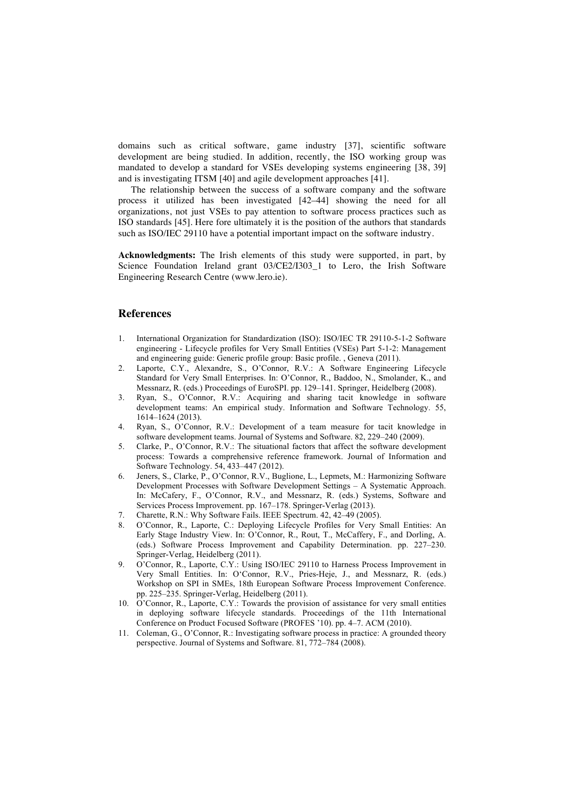domains such as critical software, game industry [37], scientific software development are being studied. In addition, recently, the ISO working group was mandated to develop a standard for VSEs developing systems engineering [38, 39] and is investigating ITSM [40] and agile development approaches [41].

The relationship between the success of a software company and the software process it utilized has been investigated [42–44] showing the need for all organizations, not just VSEs to pay attention to software process practices such as ISO standards [45]. Here fore ultimately it is the position of the authors that standards such as ISO/IEC 29110 have a potential important impact on the software industry.

**Acknowledgments:** The Irish elements of this study were supported, in part, by Science Foundation Ireland grant 03/CE2/I303\_1 to Lero, the Irish Software Engineering Research Centre (www.lero.ie).

# **References**

- 1. International Organization for Standardization (ISO): ISO/IEC TR 29110-5-1-2 Software engineering - Lifecycle profiles for Very Small Entities (VSEs) Part 5-1-2: Management and engineering guide: Generic profile group: Basic profile. , Geneva (2011).
- 2. Laporte, C.Y., Alexandre, S., O'Connor, R.V.: A Software Engineering Lifecycle Standard for Very Small Enterprises. In: O'Connor, R., Baddoo, N., Smolander, K., and Messnarz, R. (eds.) Proceedings of EuroSPI. pp. 129–141. Springer, Heidelberg (2008).
- 3. Ryan, S., O'Connor, R.V.: Acquiring and sharing tacit knowledge in software development teams: An empirical study. Information and Software Technology. 55, 1614–1624 (2013).
- 4. Ryan, S., O'Connor, R.V.: Development of a team measure for tacit knowledge in software development teams. Journal of Systems and Software. 82, 229–240 (2009).
- 5. Clarke, P., O'Connor, R.V.: The situational factors that affect the software development process: Towards a comprehensive reference framework. Journal of Information and Software Technology. 54, 433–447 (2012).
- 6. Jeners, S., Clarke, P., O'Connor, R.V., Buglione, L., Lepmets, M.: Harmonizing Software Development Processes with Software Development Settings – A Systematic Approach. In: McCafery, F., O'Connor, R.V., and Messnarz, R. (eds.) Systems, Software and Services Process Improvement. pp. 167–178. Springer-Verlag (2013).
- 7. Charette, R.N.: Why Software Fails. IEEE Spectrum. 42, 42–49 (2005).
- 8. O'Connor, R., Laporte, C.: Deploying Lifecycle Profiles for Very Small Entities: An Early Stage Industry View. In: O'Connor, R., Rout, T., McCaffery, F., and Dorling, A. (eds.) Software Process Improvement and Capability Determination. pp. 227–230. Springer-Verlag, Heidelberg (2011).
- 9. O'Connor, R., Laporte, C.Y.: Using ISO/IEC 29110 to Harness Process Improvement in Very Small Entities. In: O'Connor, R.V., Pries-Heje, J., and Messnarz, R. (eds.) Workshop on SPI in SMEs, 18th European Software Process Improvement Conference. pp. 225–235. Springer-Verlag, Heidelberg (2011).
- 10. O'Connor, R., Laporte, C.Y.: Towards the provision of assistance for very small entities in deploying software lifecycle standards. Proceedings of the 11th International Conference on Product Focused Software (PROFES '10). pp. 4–7. ACM (2010).
- 11. Coleman, G., O'Connor, R.: Investigating software process in practice: A grounded theory perspective. Journal of Systems and Software. 81, 772–784 (2008).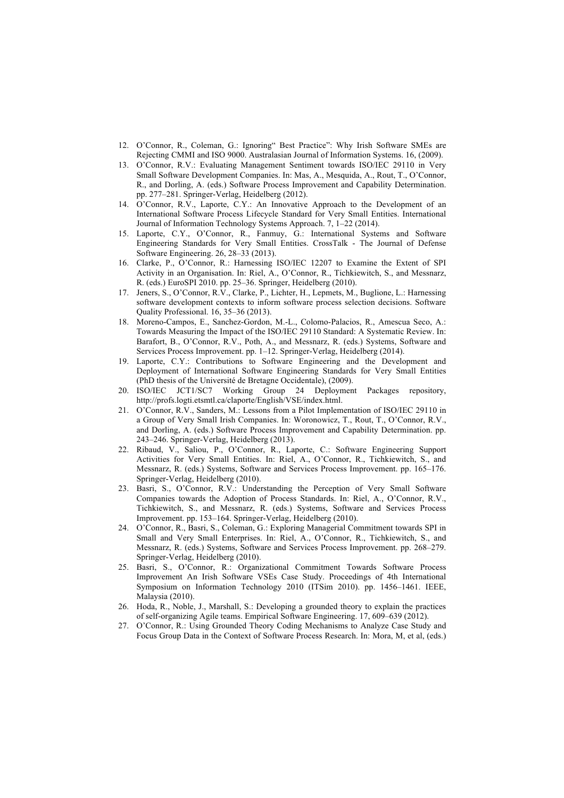- 12. O'Connor, R., Coleman, G.: Ignoring" Best Practice": Why Irish Software SMEs are Rejecting CMMI and ISO 9000. Australasian Journal of Information Systems. 16, (2009).
- 13. O'Connor, R.V.: Evaluating Management Sentiment towards ISO/IEC 29110 in Very Small Software Development Companies. In: Mas, A., Mesquida, A., Rout, T., O'Connor, R., and Dorling, A. (eds.) Software Process Improvement and Capability Determination. pp. 277–281. Springer-Verlag, Heidelberg (2012).
- 14. O'Connor, R.V., Laporte, C.Y.: An Innovative Approach to the Development of an International Software Process Lifecycle Standard for Very Small Entities. International Journal of Information Technology Systems Approach. 7, 1–22 (2014).
- 15. Laporte, C.Y., O'Connor, R., Fanmuy, G.: International Systems and Software Engineering Standards for Very Small Entities. CrossTalk - The Journal of Defense Software Engineering. 26, 28–33 (2013).
- 16. Clarke, P., O'Connor, R.: Harnessing ISO/IEC 12207 to Examine the Extent of SPI Activity in an Organisation. In: Riel, A., O'Connor, R., Tichkiewitch, S., and Messnarz, R. (eds.) EuroSPI 2010. pp. 25–36. Springer, Heidelberg (2010).
- 17. Jeners, S., O'Connor, R.V., Clarke, P., Lichter, H., Lepmets, M., Buglione, L.: Harnessing software development contexts to inform software process selection decisions. Software Quality Professional. 16, 35–36 (2013).
- 18. Moreno-Campos, E., Sanchez-Gordon, M.-L., Colomo-Palacios, R., Amescua Seco, A.: Towards Measuring the Impact of the ISO/IEC 29110 Standard: A Systematic Review. In: Barafort, B., O'Connor, R.V., Poth, A., and Messnarz, R. (eds.) Systems, Software and Services Process Improvement. pp. 1–12. Springer-Verlag, Heidelberg (2014).
- 19. Laporte, C.Y.: Contributions to Software Engineering and the Development and Deployment of International Software Engineering Standards for Very Small Entities (PhD thesis of the Université de Bretagne Occidentale), (2009).
- 20. ISO/IEC JCT1/SC7 Working Group 24 Deployment Packages repository, http://profs.logti.etsmtl.ca/claporte/English/VSE/index.html.
- 21. O'Connor, R.V., Sanders, M.: Lessons from a Pilot Implementation of ISO/IEC 29110 in a Group of Very Small Irish Companies. In: Woronowicz, T., Rout, T., O'Connor, R.V., and Dorling, A. (eds.) Software Process Improvement and Capability Determination. pp. 243–246. Springer-Verlag, Heidelberg (2013).
- 22. Ribaud, V., Saliou, P., O'Connor, R., Laporte, C.: Software Engineering Support Activities for Very Small Entities. In: Riel, A., O'Connor, R., Tichkiewitch, S., and Messnarz, R. (eds.) Systems, Software and Services Process Improvement. pp. 165–176. Springer-Verlag, Heidelberg (2010).
- 23. Basri, S., O'Connor, R.V.: Understanding the Perception of Very Small Software Companies towards the Adoption of Process Standards. In: Riel, A., O'Connor, R.V., Tichkiewitch, S., and Messnarz, R. (eds.) Systems, Software and Services Process Improvement. pp. 153–164. Springer-Verlag, Heidelberg (2010).
- 24. O'Connor, R., Basri, S., Coleman, G.: Exploring Managerial Commitment towards SPI in Small and Very Small Enterprises. In: Riel, A., O'Connor, R., Tichkiewitch, S., and Messnarz, R. (eds.) Systems, Software and Services Process Improvement. pp. 268–279. Springer-Verlag, Heidelberg (2010).
- 25. Basri, S., O'Connor, R.: Organizational Commitment Towards Software Process Improvement An Irish Software VSEs Case Study. Proceedings of 4th International Symposium on Information Technology 2010 (ITSim 2010). pp. 1456–1461. IEEE, Malaysia (2010).
- 26. Hoda, R., Noble, J., Marshall, S.: Developing a grounded theory to explain the practices of self-organizing Agile teams. Empirical Software Engineering. 17, 609–639 (2012).
- 27. O'Connor, R.: Using Grounded Theory Coding Mechanisms to Analyze Case Study and Focus Group Data in the Context of Software Process Research. In: Mora, M, et al, (eds.)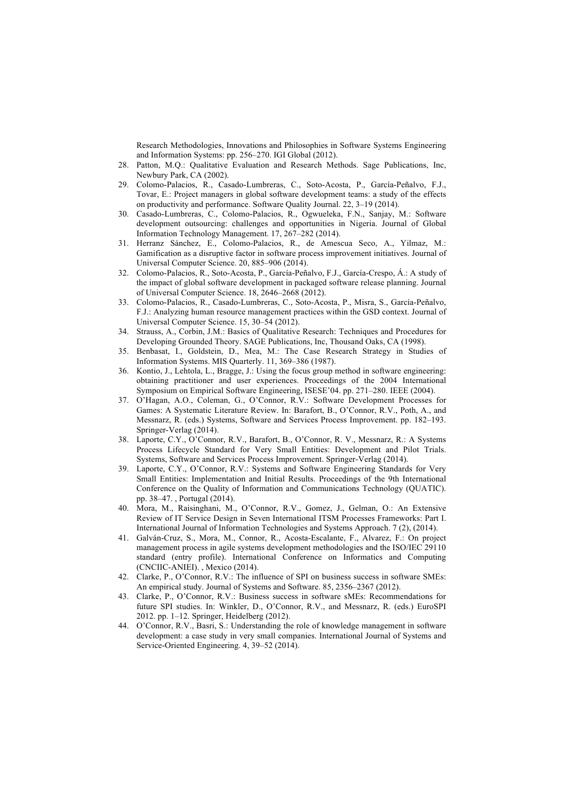Research Methodologies, Innovations and Philosophies in Software Systems Engineering and Information Systems: pp. 256–270. IGI Global (2012).

- 28. Patton, M.Q.: Qualitative Evaluation and Research Methods. Sage Publications, Inc, Newbury Park, CA (2002).
- 29. Colomo-Palacios, R., Casado-Lumbreras, C., Soto-Acosta, P., García-Peñalvo, F.J., Tovar, E.: Project managers in global software development teams: a study of the effects on productivity and performance. Software Quality Journal. 22, 3–19 (2014).
- 30. Casado-Lumbreras, C., Colomo-Palacios, R., Ogwueleka, F.N., Sanjay, M.: Software development outsourcing: challenges and opportunities in Nigeria. Journal of Global Information Technology Management. 17, 267–282 (2014).
- 31. Herranz Sánchez, E., Colomo-Palacios, R., de Amescua Seco, A., Yilmaz, M.: Gamification as a disruptive factor in software process improvement initiatives. Journal of Universal Computer Science. 20, 885–906 (2014).
- 32. Colomo-Palacios, R., Soto-Acosta, P., García-Peñalvo, F.J., García-Crespo, Á.: A study of the impact of global software development in packaged software release planning. Journal of Universal Computer Science. 18, 2646–2668 (2012).
- 33. Colomo-Palacios, R., Casado-Lumbreras, C., Soto-Acosta, P., Misra, S., García-Peñalvo, F.J.: Analyzing human resource management practices within the GSD context. Journal of Universal Computer Science. 15, 30–54 (2012).
- 34. Strauss, A., Corbin, J.M.: Basics of Qualitative Research: Techniques and Procedures for Developing Grounded Theory. SAGE Publications, Inc, Thousand Oaks, CA (1998).
- 35. Benbasat, I., Goldstein, D., Mea, M.: The Case Research Strategy in Studies of Information Systems. MIS Quarterly. 11, 369–386 (1987).
- 36. Kontio, J., Lehtola, L., Bragge, J.: Using the focus group method in software engineering: obtaining practitioner and user experiences. Proceedings of the 2004 International Symposium on Empirical Software Engineering, ISESE'04. pp. 271–280. IEEE (2004).
- 37. O'Hagan, A.O., Coleman, G., O'Connor, R.V.: Software Development Processes for Games: A Systematic Literature Review. In: Barafort, B., O'Connor, R.V., Poth, A., and Messnarz, R. (eds.) Systems, Software and Services Process Improvement. pp. 182–193. Springer-Verlag (2014).
- 38. Laporte, C.Y., O'Connor, R.V., Barafort, B., O'Connor, R. V., Messnarz, R.: A Systems Process Lifecycle Standard for Very Small Entities: Development and Pilot Trials. Systems, Software and Services Process Improvement. Springer-Verlag (2014).
- 39. Laporte, C.Y., O'Connor, R.V.: Systems and Software Engineering Standards for Very Small Entities: Implementation and Initial Results. Proceedings of the 9th International Conference on the Quality of Information and Communications Technology (QUATIC). pp. 38–47. , Portugal (2014).
- 40. Mora, M., Raisinghani, M., O'Connor, R.V., Gomez, J., Gelman, O.: An Extensive Review of IT Service Design in Seven International ITSM Processes Frameworks: Part I. International Journal of Information Technologies and Systems Approach. 7 (2), (2014).
- 41. Galván-Cruz, S., Mora, M., Connor, R., Acosta-Escalante, F., Alvarez, F.: On project management process in agile systems development methodologies and the ISO/IEC 29110 standard (entry profile). International Conference on Informatics and Computing (CNCIIC-ANIEI). , Mexico (2014).
- 42. Clarke, P., O'Connor, R.V.: The influence of SPI on business success in software SMEs: An empirical study. Journal of Systems and Software. 85, 2356–2367 (2012).
- 43. Clarke, P., O'Connor, R.V.: Business success in software sMEs: Recommendations for future SPI studies. In: Winkler, D., O'Connor, R.V., and Messnarz, R. (eds.) EuroSPI 2012. pp. 1–12. Springer, Heidelberg (2012).
- 44. O'Connor, R.V., Basri, S.: Understanding the role of knowledge management in software development: a case study in very small companies. International Journal of Systems and Service-Oriented Engineering. 4, 39–52 (2014).